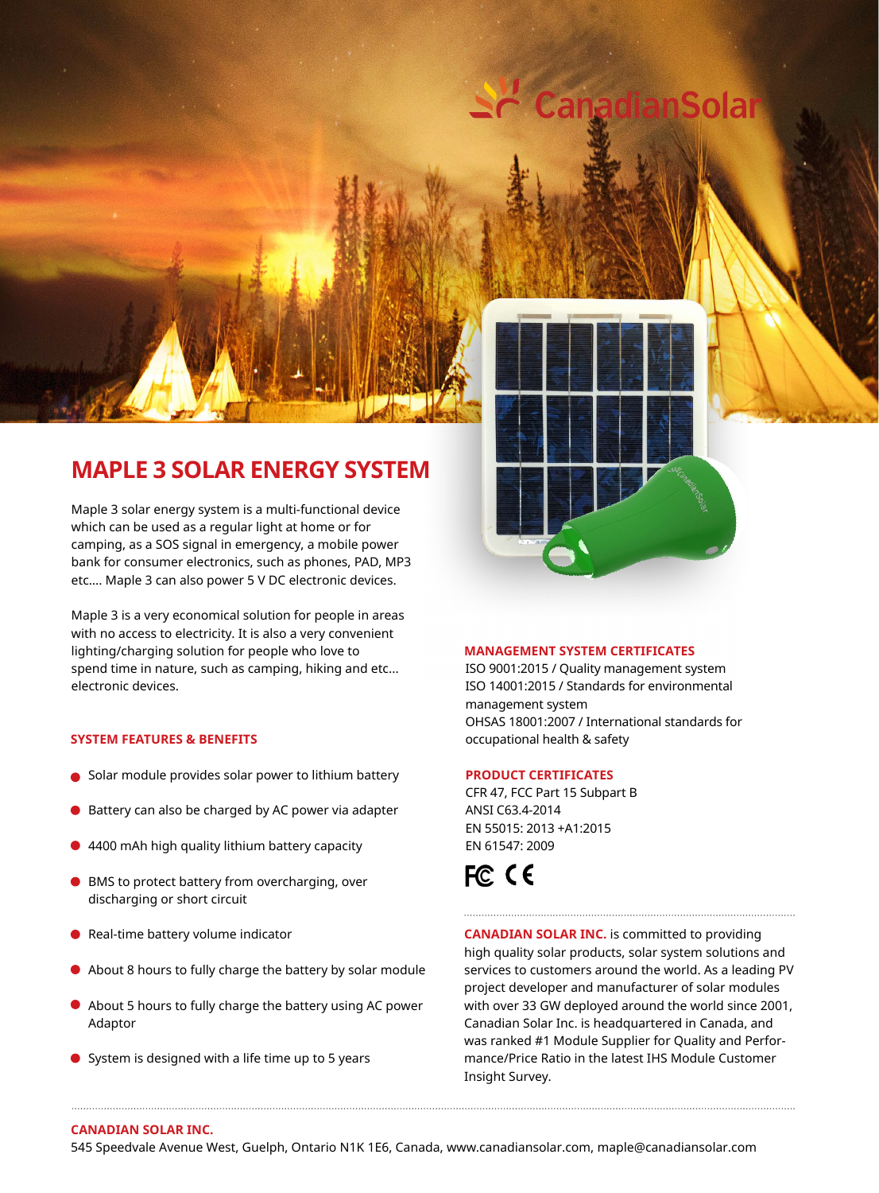

## **MAPLE 3 SOLAR ENERGY SYSTEM**

Maple 3 solar energy system is a multi-functional device which can be used as a regular light at home or for camping, as a SOS signal in emergency, a mobile power bank for consumer electronics, such as phones, PAD, MP3 etc…. Maple 3 can also power 5 V DC electronic devices.

Maple 3 is a very economical solution for people in areas with no access to electricity. It is also a very convenient lighting/charging solution for people who love to spend time in nature, such as camping, hiking and etc... electronic devices.

### **SYSTEM FEATURES & BENEFITS**

- Solar module provides solar power to lithium battery
- Battery can also be charged by AC power via adapter
- 4400 mAh high quality lithium battery capacity
- BMS to protect battery from overcharging, over discharging or short circuit
- Real-time battery volume indicator
- About 8 hours to fully charge the battery by solar module
- About 5 hours to fully charge the battery using AC power Adaptor

System is designed with a life time up to 5 years

### **MANAGEMENT SYSTEM CERTIFICATES**

ISO 9001:2015 / Quality management system ISO 14001:2015 / Standards for environmental management system OHSAS 18001:2007 / International standards for occupational health & safety

### **PRODUCT CERTIFICATES**

CFR 47, FCC Part 15 Subpart B ANSI C63.4-2014 EN 55015: 2013 +A1:2015 EN 61547: 2009

# FC CE

**CANADIAN SOLAR INC.** is committed to providing high quality solar products, solar system solutions and services to customers around the world. As a leading PV project developer and manufacturer of solar modules with over 33 GW deployed around the world since 2001, Canadian Solar Inc. is headquartered in Canada, and was ranked #1 Module Supplier for Quality and Performance/Price Ratio in the latest IHS Module Customer Insight Survey.

### **CANADIAN SOLAR INC.**

545 Speedvale Avenue West, Guelph, Ontario N1K 1E6, Canada, www.canadiansolar.com, maple@canadiansolar.com